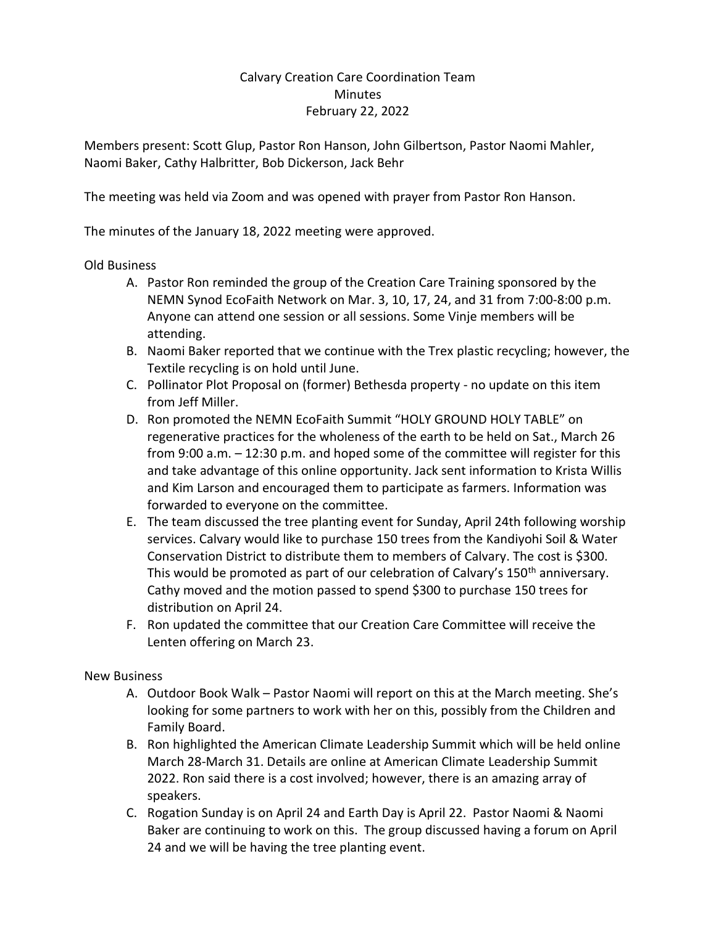## Calvary Creation Care Coordination Team Minutes February 22, 2022

Members present: Scott Glup, Pastor Ron Hanson, John Gilbertson, Pastor Naomi Mahler, Naomi Baker, Cathy Halbritter, Bob Dickerson, Jack Behr

The meeting was held via Zoom and was opened with prayer from Pastor Ron Hanson.

The minutes of the January 18, 2022 meeting were approved.

## Old Business

- A. Pastor Ron reminded the group of the Creation Care Training sponsored by the NEMN Synod EcoFaith Network on Mar. 3, 10, 17, 24, and 31 from 7:00-8:00 p.m. Anyone can attend one session or all sessions. Some Vinje members will be attending.
- B. Naomi Baker reported that we continue with the Trex plastic recycling; however, the Textile recycling is on hold until June.
- C. Pollinator Plot Proposal on (former) Bethesda property no update on this item from Jeff Miller.
- D. Ron promoted the NEMN EcoFaith Summit "HOLY GROUND HOLY TABLE" on regenerative practices for the wholeness of the earth to be held on Sat., March 26 from 9:00 a.m. – 12:30 p.m. and hoped some of the committee will register for this and take advantage of this online opportunity. Jack sent information to Krista Willis and Kim Larson and encouraged them to participate as farmers. Information was forwarded to everyone on the committee.
- E. The team discussed the tree planting event for Sunday, April 24th following worship services. Calvary would like to purchase 150 trees from the Kandiyohi Soil & Water Conservation District to distribute them to members of Calvary. The cost is \$300. This would be promoted as part of our celebration of Calvary's 150<sup>th</sup> anniversary. Cathy moved and the motion passed to spend \$300 to purchase 150 trees for distribution on April 24.
- F. Ron updated the committee that our Creation Care Committee will receive the Lenten offering on March 23.

## New Business

- A. Outdoor Book Walk Pastor Naomi will report on this at the March meeting. She's looking for some partners to work with her on this, possibly from the Children and Family Board.
- B. Ron highlighted the American Climate Leadership Summit which will be held online March 28-March 31. Details are online at American Climate Leadership Summit 2022. Ron said there is a cost involved; however, there is an amazing array of speakers.
- C. Rogation Sunday is on April 24 and Earth Day is April 22. Pastor Naomi & Naomi Baker are continuing to work on this. The group discussed having a forum on April 24 and we will be having the tree planting event.